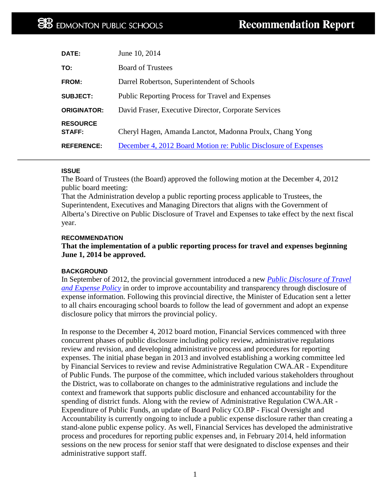| DATE:                            | June 10, 2014                                                   |
|----------------------------------|-----------------------------------------------------------------|
| TO:                              | <b>Board of Trustees</b>                                        |
| FROM:                            | Darrel Robertson, Superintendent of Schools                     |
| <b>SUBJECT:</b>                  | <b>Public Reporting Process for Travel and Expenses</b>         |
| <b>ORIGINATOR:</b>               | David Fraser, Executive Director, Corporate Services            |
| <b>RESOURCE</b><br><b>STAFF:</b> | Cheryl Hagen, Amanda Lanctot, Madonna Proulx, Chang Yong        |
| <b>REFERENCE:</b>                | December 4, 2012 Board Motion re: Public Disclosure of Expenses |

### **ISSUE**

The Board of Trustees (the Board) approved the following motion at the December 4, 2012 public board meeting:

That the Administration develop a public reporting process applicable to Trustees, the Superintendent, Executives and Managing Directors that aligns with the Government of Alberta's Directive on Public Disclosure of Travel and Expenses to take effect by the next fiscal year.

### **RECOMMENDATION**

# **That the implementation of a public reporting process for travel and expenses beginning June 1, 2014 be approved.**

# **BACKGROUND**

In September of 2012, the provincial government introduced a new *[Public Disclosure of Travel](http://www.finance.alberta.ca/business/planning-accountability/accountability/GoA-Public-Disclosure-of-Travel-and-Expense-Policy.pdf)  [and Expense](http://www.finance.alberta.ca/business/planning-accountability/accountability/GoA-Public-Disclosure-of-Travel-and-Expense-Policy.pdf) Policy* in order to improve accountability and transparency through disclosure of expense information. Following this provincial directive, the Minister of Education sent a letter to all chairs encouraging school boards to follow the lead of government and adopt an expense disclosure policy that mirrors the provincial policy.

In response to the December 4, 2012 board motion, Financial Services commenced with three concurrent phases of public disclosure including policy review, administrative regulations review and revision, and developing administrative process and procedures for reporting expenses. The initial phase began in 2013 and involved establishing a working committee led by Financial Services to review and revise Administrative Regulation CWA.AR - Expenditure of Public Funds. The purpose of the committee, which included various stakeholders throughout the District, was to collaborate on changes to the administrative regulations and include the context and framework that supports public disclosure and enhanced accountability for the spending of district funds. Along with the review of Administrative Regulation CWA.AR - Expenditure of Public Funds, an update of Board Policy CO.BP - Fiscal Oversight and Accountability is currently ongoing to include a public expense disclosure rather than creating a stand-alone public expense policy. As well, Financial Services has developed the administrative process and procedures for reporting public expenses and, in February 2014, held information sessions on the new process for senior staff that were designated to disclose expenses and their administrative support staff.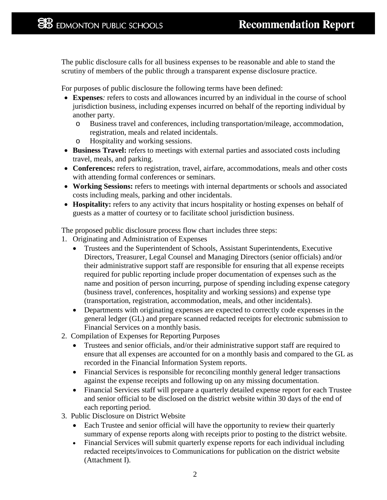The public disclosure calls for all business expenses to be reasonable and able to stand the scrutiny of members of the public through a transparent expense disclosure practice.

For purposes of public disclosure the following terms have been defined:

- **Expenses***:* refers to costs and allowances incurred by an individual in the course of school jurisdiction business, including expenses incurred on behalf of the reporting individual by another party.
	- o Business travel and conferences, including transportation/mileage, accommodation, registration, meals and related incidentals.
	- o Hospitality and working sessions.
- **Business Travel:** refers to meetings with external parties and associated costs including travel, meals, and parking.
- **Conferences:** refers to registration, travel, airfare, accommodations, meals and other costs with attending formal conferences or seminars.
- **Working Sessions:** refers to meetings with internal departments or schools and associated costs including meals, parking and other incidentals.
- **Hospitality:** refers to any activity that incurs hospitality or hosting expenses on behalf of guests as a matter of courtesy or to facilitate school jurisdiction business.

The proposed public disclosure process flow chart includes three steps:

- 1. Originating and Administration of Expenses
	- Trustees and the Superintendent of Schools, Assistant Superintendents, Executive Directors, Treasurer, Legal Counsel and Managing Directors (senior officials) and/or their administrative support staff are responsible for ensuring that all expense receipts required for public reporting include proper documentation of expenses such as the name and position of person incurring, purpose of spending including expense category (business travel, conferences, hospitality and working sessions) and expense type (transportation, registration, accommodation, meals, and other incidentals).
	- Departments with originating expenses are expected to correctly code expenses in the general ledger (GL) and prepare scanned redacted receipts for electronic submission to Financial Services on a monthly basis.
- 2. Compilation of Expenses for Reporting Purposes
	- Trustees and senior officials, and/or their administrative support staff are required to ensure that all expenses are accounted for on a monthly basis and compared to the GL as recorded in the Financial Information System reports.
	- Financial Services is responsible for reconciling monthly general ledger transactions against the expense receipts and following up on any missing documentation.
	- Financial Services staff will prepare a quarterly detailed expense report for each Trustee and senior official to be disclosed on the district website within 30 days of the end of each reporting period.
- 3. Public Disclosure on District Website
	- Each Trustee and senior official will have the opportunity to review their quarterly summary of expense reports along with receipts prior to posting to the district website.
	- Financial Services will submit quarterly expense reports for each individual including redacted receipts/invoices to Communications for publication on the district website (Attachment I).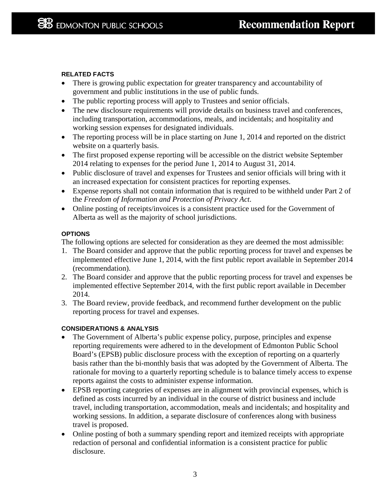# **RELATED FACTS**

- There is growing public expectation for greater transparency and accountability of government and public institutions in the use of public funds.
- The public reporting process will apply to Trustees and senior officials.
- The new disclosure requirements will provide details on business travel and conferences, including transportation, accommodations, meals, and incidentals; and hospitality and working session expenses for designated individuals.
- The reporting process will be in place starting on June 1, 2014 and reported on the district website on a quarterly basis.
- The first proposed expense reporting will be accessible on the district website September 2014 relating to expenses for the period June 1, 2014 to August 31, 2014.
- Public disclosure of travel and expenses for Trustees and senior officials will bring with it an increased expectation for consistent practices for reporting expenses.
- Expense reports shall not contain information that is required to be withheld under Part 2 of the *Freedom of Information and Protection of Privacy Act*.
- Online posting of receipts/invoices is a consistent practice used for the Government of Alberta as well as the majority of school jurisdictions.

# **OPTIONS**

The following options are selected for consideration as they are deemed the most admissible:

- 1. The Board consider and approve that the public reporting process for travel and expenses be implemented effective June 1, 2014, with the first public report available in September 2014 (recommendation).
- 2. The Board consider and approve that the public reporting process for travel and expenses be implemented effective September 2014, with the first public report available in December 2014.
- 3. The Board review, provide feedback, and recommend further development on the public reporting process for travel and expenses.

# **CONSIDERATIONS & ANALYSIS**

- The Government of Alberta's public expense policy, purpose, principles and expense reporting requirements were adhered to in the development of Edmonton Public School Board's (EPSB) public disclosure process with the exception of reporting on a quarterly basis rather than the bi-monthly basis that was adopted by the Government of Alberta. The rationale for moving to a quarterly reporting schedule is to balance timely access to expense reports against the costs to administer expense information.
- EPSB reporting categories of expenses are in alignment with provincial expenses, which is defined as costs incurred by an individual in the course of district business and include travel, including transportation, accommodation, meals and incidentals; and hospitality and working sessions. In addition, a separate disclosure of conferences along with business travel is proposed.
- Online posting of both a summary spending report and itemized receipts with appropriate redaction of personal and confidential information is a consistent practice for public disclosure.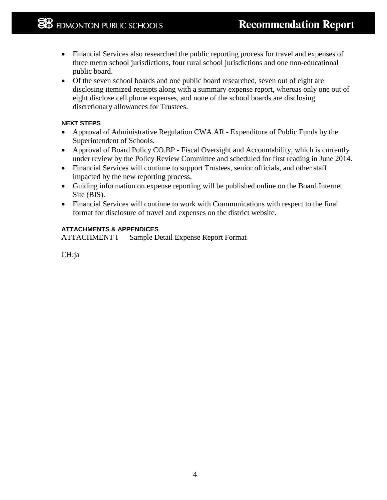- Financial Services also researched the public reporting process for travel and expenses of three metro school jurisdictions, four rural school jurisdictions and one non-educational public board.
- Of the seven school boards and one public board researched, seven out of eight are disclosing itemized receipts along with a summary expense report, whereas only one out of eight disclose cell phone expenses, and none of the school boards are disclosing discretionary allowances for Trustees.

# **NEXT STEPS**

- Approval of Administrative Regulation CWA.AR Expenditure of Public Funds by the Superintendent of Schools.
- Approval of Board Policy CO.BP Fiscal Oversight and Accountability, which is currently under review by the Policy Review Committee and scheduled for first reading in June 2014.
- Financial Services will continue to support Trustees, senior officials, and other staff impacted by the new reporting process.
- Guiding information on expense reporting will be published online on the Board Internet Site (BIS).
- Financial Services will continue to work with Communications with respect to the final format for disclosure of travel and expenses on the district website.

# **ATTACHMENTS & APPENDICES**

ATTACHMENT I Sample Detail Expense Report Format

CH:ja